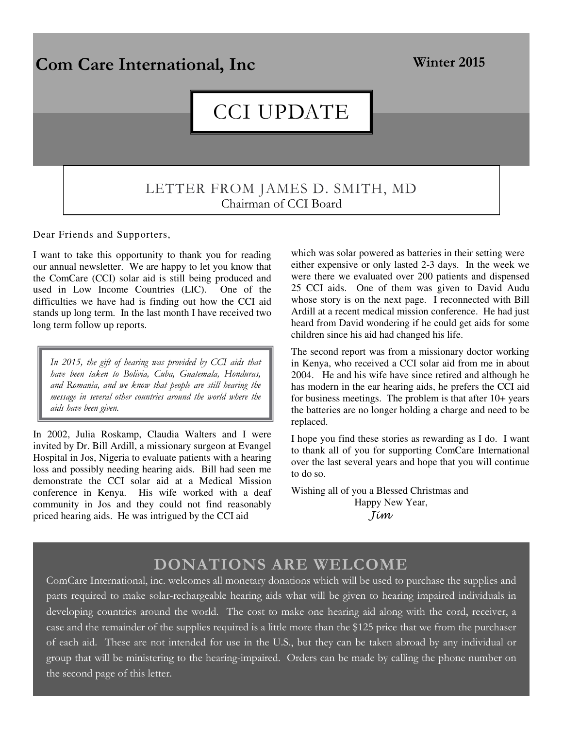

Dear Friends and Supporters,

I want to take this opportunity to thank you for reading our annual newsletter. We are happy to let you know that the ComCare (CCI) solar aid is still being produced and used in Low Income Countries (LIC). One of the difficulties we have had is finding out how the CCI aid stands up long term. In the last month I have received two long term follow up reports.

*In 2015, the gift of hearing was provided by CCI aids that have been taken to Bolivia, Cuba, Guatemala, Honduras, and Romania, and we know that people are still hearing the message in several other countries around the world where the aids have been given.* 

In 2002, Julia Roskamp, Claudia Walters and I were invited by Dr. Bill Ardill, a missionary surgeon at Evangel Hospital in Jos, Nigeria to evaluate patients with a hearing loss and possibly needing hearing aids. Bill had seen me demonstrate the CCI solar aid at a Medical Mission conference in Kenya. His wife worked with a deaf community in Jos and they could not find reasonably priced hearing aids. He was intrigued by the CCI aid

which was solar powered as batteries in their setting were either expensive or only lasted 2-3 days. In the week we were there we evaluated over 200 patients and dispensed 25 CCI aids. One of them was given to David Audu whose story is on the next page. I reconnected with Bill Ardill at a recent medical mission conference. He had just heard from David wondering if he could get aids for some children since his aid had changed his life.

The second report was from a missionary doctor working in Kenya, who received a CCI solar aid from me in about 2004. He and his wife have since retired and although he has modern in the ear hearing aids, he prefers the CCI aid for business meetings. The problem is that after 10+ years the batteries are no longer holding a charge and need to be replaced.

I hope you find these stories as rewarding as I do. I want to thank all of you for supporting ComCare International over the last several years and hope that you will continue to do so.

Wishing all of you a Blessed Christmas and Happy New Year, Jim

## **DONATIONS ARE WELCOME**

ComCare International, inc. welcomes all monetary donations which will be used to purchase the supplies and parts required to make solar-rechargeable hearing aids what will be given to hearing impaired individuals in developing countries around the world. The cost to make one hearing aid along with the cord, receiver, a case and the remainder of the supplies required is a little more than the \$125 price that we from the purchaser of each aid. These are not intended for use in the U.S., but they can be taken abroad by any individual or group that will be ministering to the hearing-impaired. Orders can be made by calling the phone number on the second page of this letter.